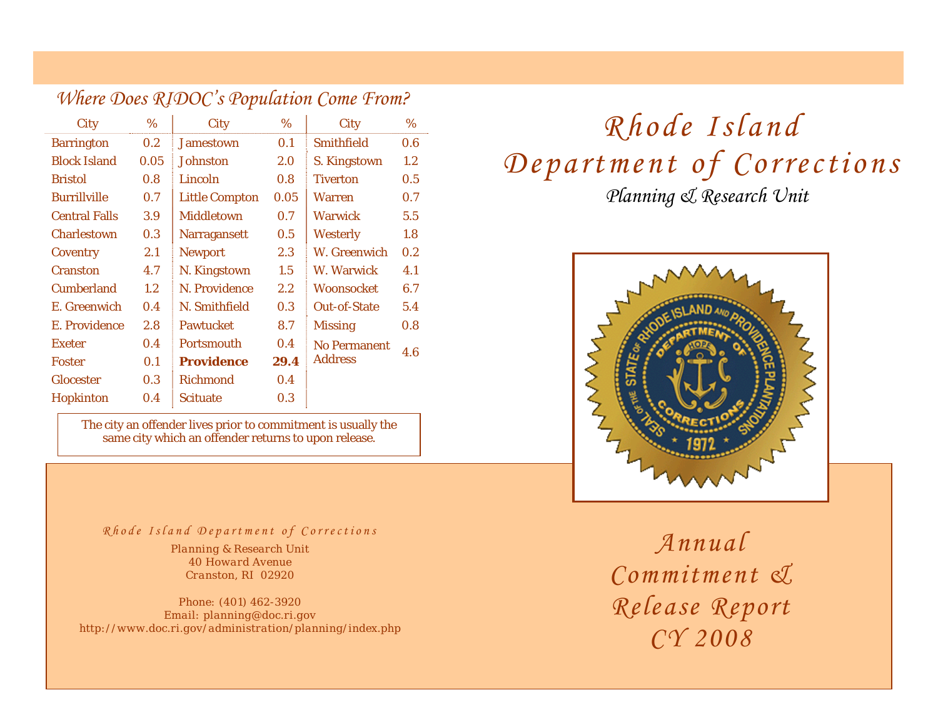|                      |         | $\sum$                |                  |                     |         |
|----------------------|---------|-----------------------|------------------|---------------------|---------|
| City                 | $\%$    | <b>City</b>           | $\%$             | City                | %       |
| <b>Barrington</b>    | 0.2     | <b>Jamestown</b>      | 0.1              | <b>Smithfield</b>   | 0.6     |
| <b>Block Island</b>  | 0.05    | <b>Johnston</b>       | 2.0              | S. Kingstown        | $1.2\,$ |
| <b>Bristol</b>       | 0.8     | Lincoln               | 0.8 <sub>0</sub> | <b>Tiverton</b>     | 0.5     |
| <b>Burrillville</b>  | 0.7     | <b>Little Compton</b> | 0.05             | <b>Warren</b>       | 0.7     |
| <b>Central Falls</b> | 3.9     | <b>Middletown</b>     | 0.7              | <b>Warwick</b>      | 5.5     |
| <b>Charlestown</b>   | 0.3     | <b>Narragansett</b>   | 0.5              | <b>Westerly</b>     | 1.8     |
| Coventry             | 2.1     | <b>Newport</b>        | 2.3              | W. Greenwich        | 0.2     |
| <b>Cranston</b>      | 4.7     | N. Kingstown          | 1.5              | W. Warwick          | 4.1     |
| <b>Cumberland</b>    | $1.2\,$ | N. Providence         | $2.2\,$          | <b>Woonsocket</b>   | 6.7     |
| E. Greenwich         | 0.4     | N. Smithfield         | 0.3              | <b>Out-of-State</b> | 5.4     |
| E. Providence        | 2.8     | <b>Pawtucket</b>      | 8.7              | <b>Missing</b>      | 0.8     |
| <b>Exeter</b>        | 0.4     | <b>Portsmouth</b>     | 0.4              | <b>No Permanent</b> | 4.6     |
| <b>Foster</b>        | 0.1     | <b>Providence</b>     | 29.4             | <b>Address</b>      |         |
| <b>Glocester</b>     | 0.3     | <b>Richmond</b>       | 0.4              |                     |         |
| <b>Hopkinton</b>     | 0.4     | <b>Scituate</b>       | 0.3              |                     |         |
|                      |         |                       |                  |                     |         |

*Where Does RIDOC's Population Come From?*

The city an offender lives prior to commitment is usually the same city which an offender returns to upon release.

## *Rhode Island Department of Corrections Annual*

*Planning & Research Unit 40 Howard Avenue Cranston, RI 02920* 

*Phone: (401) 462-3920 Email: planning@doc.ri.gov http://www.doc.ri.gov/administration/planning/index.php*

# *Planning & Research Unit Rhode Island Department of Corrections*



*Commitment & Release Report CY 2008*